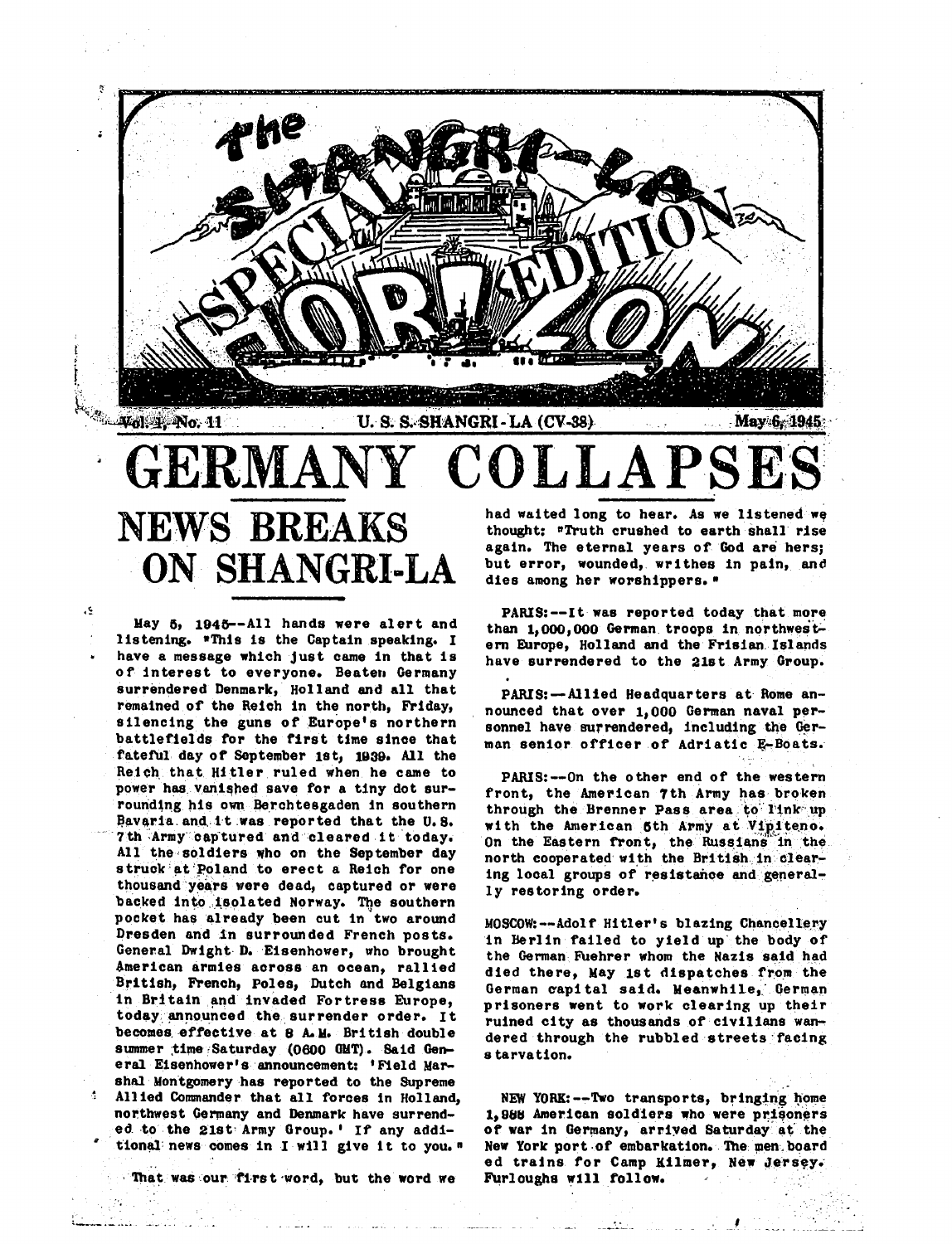

# NEWS **BREAKS ON SHANGRI-LA**

May 6, 1945--All hands were alert and listening. \*This is the Captain speaking. I have a message which just came in that is of interest to everyone. Beater, Germany surrendered Denmark, Holland and all that remained of the Reich in the north, Friday, silencing the guns of Europe's northern battlefields for the first time since that fateful day of September 1st, 1939. All the Reich that Hitler ruled when he came to power has vanished save for a tiny dot surrounding his own Berchtesgaden in southern Bavaria and it was reported that the *U.S.* 7th Army captured and cleared it today. All the soldiers who on the September day struck at Poland to erect a Reich for one thousand years were dead, captured or were backed into isolated Norway. The southern pocket has already been cut in two around Dresden and in surrounded French posts. General Dwight- D. Eisenhower, who brought American armies across an ocean, rallied British, French, Poles, Dutch and Belgians in Britain and invaded Fortress Europe. today announced the surrender order. It becomes effective at 8 A.M. British double summer time Saturday (0600 GMT). Said General Eisenhower's announcement: 'Field Marshal Montgomery has reported to the Supreme 4 Allied Commander that all forces in Holland, northwest Germany and Denmark have surrended to the 21st Army Group.' If any additional news comes in I will give it to you."

That was our first word, but the word we

'.

e٤.

. من كانك**اني** 

had waited long to hear. As we listened we thought: "Truth crushed to earth shall rise again. The eternal years of God are hers; but error, wounded, writhes in pain, and dies among her worshippers."

PARIS:--It was reported today that more than  $1,000,000$  German troops in northwestem Europe, Holland and the Frisian. Islands have surrendered to the 21st Army Group.

PARIS:--Allied Headquarters at Rome announced that over 1,000 German naval personnel have surrendered, including the German senior officer of Adriatic E-Boats.

PARIS:--On the other end of the western front, the American 7th Army has broken through the Brenner Pass area to link up with the American 5th Army at Vipiteno. On the Eastern front, the Russians in the north cooperated with the British in clearing local groups of resistance and generally restoring order.

MOSCOW:--Adolf Hitler's blazing Chancellery in Berlin failed to yield up· the body of the German Fuehrer whom the Nazis said had died there, May 1st dispatches from the German capital said. Meanwhile, German prisoners went to work clearing up their ruined city as thousands of civilians wandered through the rubbled streets·facing starvation.

NEW YORK: $--$ Two transports, bringing home 1,988 American soldiers who were prisoners of war in Germany, arriyed Saturday at the New York port of embarkation. The men board ed trains for Camp Kilmer, New Jersey. furlougha w1ll follow.

*\_I*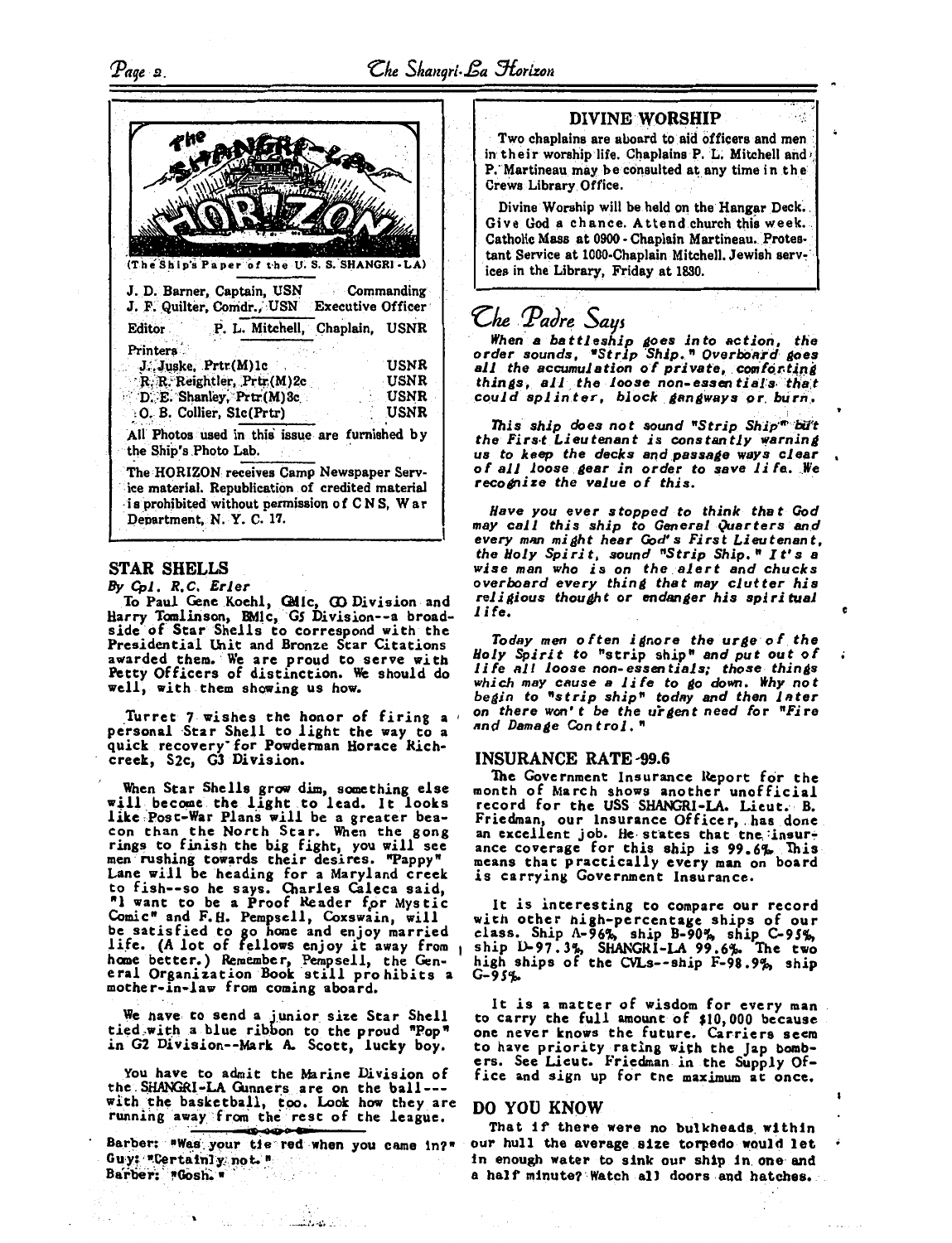

#### STAR SHELLS

By *Cpl. R.C. Erler* 

To Paul Gene Koehl, G\tlc, CD Division and Harry Tanlirison, BMlc, Gs Division--a broadside of Star Shells to correspond with the Presidential Unit and Bronze Star Citations awarded them. We are proud to serve with Petty Officers of distinction. We should do well, with them showing us how.

Turret 7 wishes the honor of firing a personal ·Star Shell to light the way to a quick recovery· for Powderman Horace Richcreek, S2c, Gl Division.

When Star Shells grow dim, something else<br>will become the light to lead. It looks like,Post-War Plans will be a greater bea- con than the North Star. When the gong rings to finish the big fight, you will see<br>men rushing towards their desires. "Pappy" Lane will be heading for a Maryland creek to fish--so he says. Charles Caleca said, "I want to be a Proof Reader for Mystic Comic" and F.H. Pempsell, Coxswain, will be satisfied to go home and enjoy married<br>life. (A lot of fellows enjoy it away from home better.) Remember, Pempsell, the Gen-<br>eral Organization Book still pro hibits a<br>mother-in-law from coming aboard.

We have to send a junior size Star Shell tied with a blue ribbon to the proud "Pop" *in* G2 Division--Mark A. Scott, lucky boy.

You have to admit the Marine Division of the SHANGRI-LA Gunners are on the ball--with the basketball, too. Look how they are running away from the rest of the league.

Barber: "Was your tie red when you came in?" Guy: \*Certainly: not. ".<br>Barber: \*Gosh. \*

<u> 1999 - James B</u>

 $\mathcal{L}_{\text{c}}$  , and  $\mathcal{L}_{\text{c}}$  , and  $\mathcal{L}_{\text{c}}$ 

### DIVINE WORSHIP

Two chaplains are aboard to aid officers and men in their worship life. Chaplains P. L. Mitchell and, P. Martineau may be consulted at any time in the Crews Library Office. .

Divine Worship will be held on the Hangar Deck. Give God a chance. Attend church this week. Catholic Mass at 0900 - Chaplain Martineau. Protestant Service at 1000-Chaplain Mitchell. Jewish services in the Library, Friday at 1830.

*Che Padre Says*<br>When a battleship goes into action, the *order sounds, "Strip Ship." Overboard goes all the accumulation of private, comforting*  $$ *could splinter, block gangways or burn.* 

• I . *1ni* s *ship do es* not *sound "Strip Ship'"' ·bi'J't*  the First Lieutenant is constantly warning<br>us to keep the decks and passage ways clear us *to keep the decks and passaae ways cle11r* , *of al 1 loose* . *aear in order to save l i le. •.. We*  recognize the value of this.

*Have you ever stopped to think that God may call this ship to General Quarters* an.d *every man might hear God's First Lieutenant,*<br>the Holy Spirit, sound "Strip Ship." It's a *the Holy Spirit, sound "Strip Ship." It's a wise* man *who is* on *the.alert and chucks overboard every thinll that may clutter his religious thou4ht or endanaer his spiritual 11fe.* **c** 

*Today* men o /ten *i llnore the urae of. the Holy Spirit to* "strip ship" *and put out of Ji le 111 l loose non-essentials; those thinlls which may cause a life to So down. lthy* not *begin to "strip ship" today and then l11ter* on *there won't be the ui-11ent need for "Fire*  on there won't be the urgent need for "Fire<br>and Damage Control."

#### INSURANCE RATE'99.6

The Government Insurance Report for the month of March shows another unofficial record for the USS SHANGRI-LA. Lieut. B.<br>Friedman, our Insurance Officer, has done an excellent job. He states that the insur-<br>ance coverage for this ship is 99.6%. This<br>means that practically every man on board is carrying Government Insurance.

It is interesting to compare our record with other high-percentage ships of our class. Ship A-96%, ship B-90%, ship *C-95%*, ship D- *9* 7 • 3%, SHANGRI-LA *99.* 6j. The two high ships of the CVLs--ship F-98.9%, ship *G-9S1,-*

It is a matter of wisdom for every man<br>to carry the full amount of \$10,000 because<br>one never knows the future. Carriers seem<br>to have priority rating with the Jap bomb-<br>ers. See Lieut. Friedman in the Supply Office and sign up for the maximum at once.

#### DO YOU KNOW

That if there were no bulkheads within our hull the average size torpedo would let in enough water to sink our ship in. one·and a half minute? Watch all doors and hatches.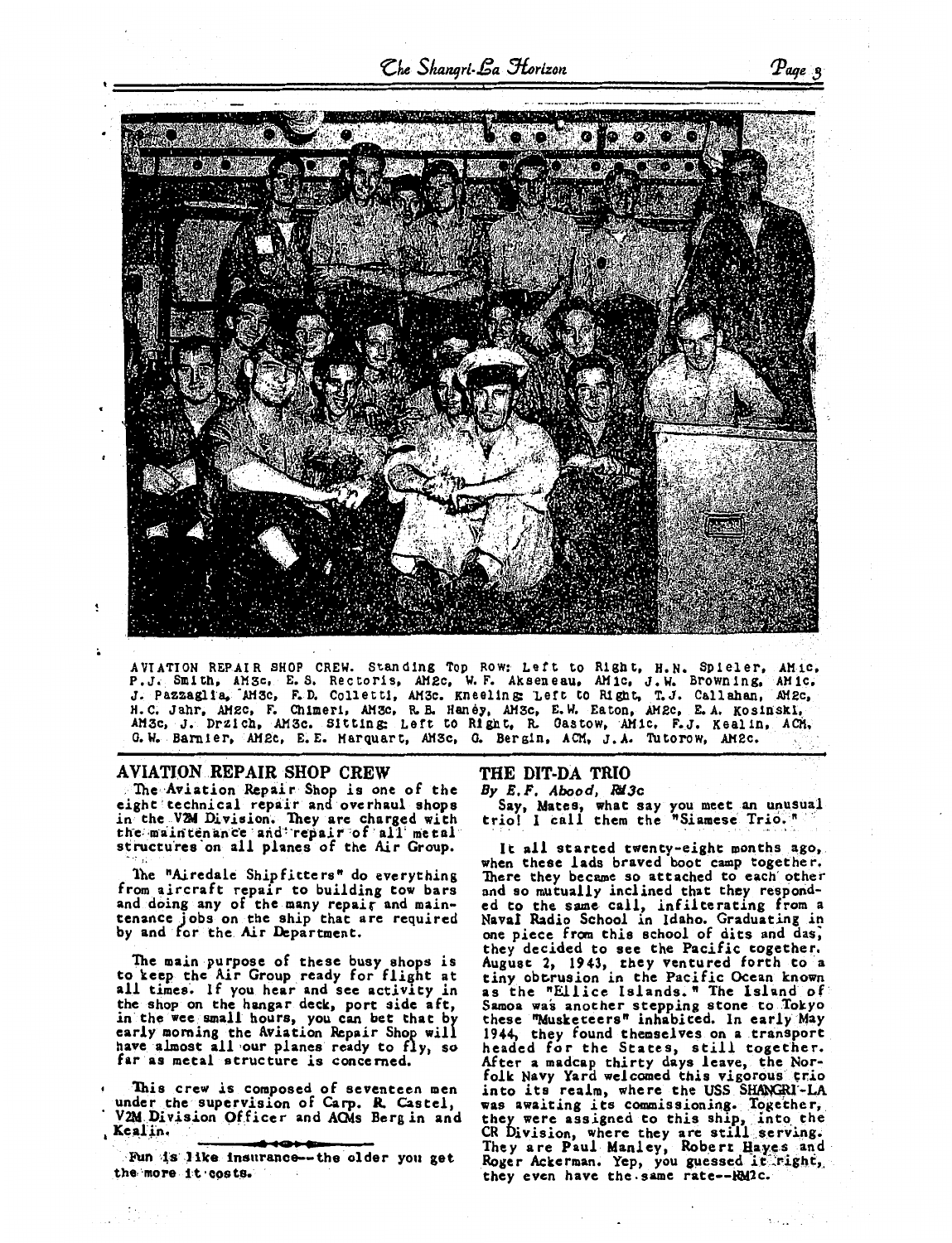Che Shangri-Ba Horizon



AVIATION REPAIR SHOP CREW. Standing Top Row: Left to Right, H.N. Spieler, AMic, P.J., Smith, AMSc, E.S. Rectoris, AM2c, W.F. Akseneau, AMic, J.W. Browning, AMic, J. Pazzaglia, AM3c, F.D. Colletti, AM3c. Kneeling Left to Ri G.W. Barnier, AM2c, E.E. Marquart, AM3c, G. Bergin, ACM, J.A. Tutorow, AM2c.

#### **AVIATION REPAIR SHOP CREW**

The Aviation Repair Shop is one of the eight technical repair and overhaul shops<br>in the V2M Division. They are charged with the maintenance and repair of all metal structures on all planes of the Air Group.

The "Airedale Shipfitters" do everything from aircraft repair to building tow bars and doing any of the many repair and maintenance jobs on the ship that are required<br>by and for the Air Department.

The main purpose of these busy shops is<br>to keep the Air Group ready for flight at all times. If you hear and see activity in the shop on the hangar deck, port side aft,<br>in the wee small hours, you can bet that by<br>early morning the Aviation Repair Shop will have almost all our planes ready to fly, so far as metal structure is concerned.

This crew is composed of seventeen men<br>under the supervision of Carp. R. Castel, V2M Division Officer and ACMs Berg in and , Kealin.

Fun is like insurance--the older you get the more it costs.

## THE DIT-DA TRIO

By E.F. Abood, RM3c

Say, Mates, what say you meet an unusual<br>triol I call them the "Siamese Trio."

It all started twenty-eight months ago, when these lads braved boot camp together.<br>There they became so attached to each other and so mutually inclined that they responded to the same call, infilterating from a<br>Naval Radio School in Idaho. Graduating in<br>one piece from this school of dits and das, they decided to see the Pacific together. August 2, 1943, they ventured forth to a<br>tiny obtrusion in the Pacific Ocean known as the "Ellice Islands." The Island of Samoa was another stepping stone to Tokyo<br>these "Musketeers" inhabited. In early May 1944, they found themselves on a transport headed for the States, still together. After a madcap thirty days leave, the Nor-folk Navy Yard welcomed this vigorous trio into its realm, where the USS SHANGRI-LA was awaiting its commissioning. Together, they were assigned to this ship, into the CR Division, where they are still serving.<br>They are Paul Manley, Robert Hayes and Roger Ackerman. Yep, you guessed it right, they even have the same rate--KM2c.